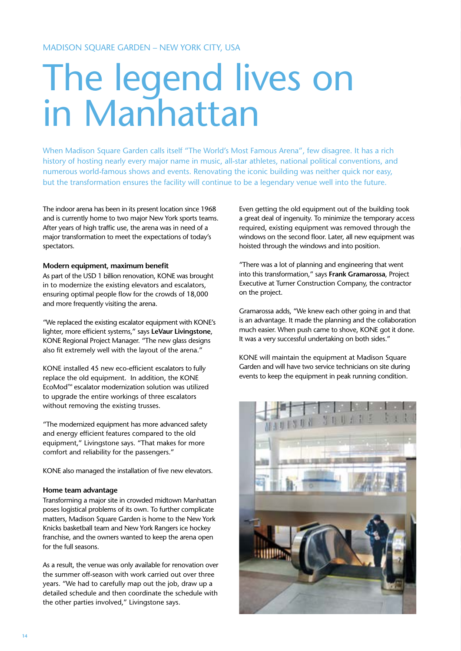# The legend lives on in Manhattan

When Madison Square Garden calls itself "The World's Most Famous Arena", few disagree. It has a rich history of hosting nearly every major name in music, all-star athletes, national political conventions, and numerous world-famous shows and events. Renovating the iconic building was neither quick nor easy, but the transformation ensures the facility will continue to be a legendary venue well into the future.

The indoor arena has been in its present location since 1968 and is currently home to two major New York sports teams. After years of high traffic use, the arena was in need of a major transformation to meet the expectations of today's spectators.

# **Modern equipment, maximum benefit**

As part of the USD 1 billion renovation, KONE was brought in to modernize the existing elevators and escalators, ensuring optimal people flow for the crowds of 18,000 and more frequently visiting the arena.

"We replaced the existing escalator equipment with KONE's lighter, more efficient systems," says **LeVaur Livingstone**, KONE Regional Project Manager. "The new glass designs also fit extremely well with the layout of the arena."

KONE installed 45 new eco-efficient escalators to fully replace the old equipment. In addition, the KONE EcoMod™ escalator modernization solution was utilized to upgrade the entire workings of three escalators without removing the existing trusses.

"The modernized equipment has more advanced safety and energy efficient features compared to the old equipment," Livingstone says. "That makes for more comfort and reliability for the passengers."

KONE also managed the installation of five new elevators.

## **Home team advantage**

Transforming a major site in crowded midtown Manhattan poses logistical problems of its own. To further complicate matters, Madison Square Garden is home to the New York Knicks basketball team and New York Rangers ice hockey franchise, and the owners wanted to keep the arena open for the full seasons.

As a result, the venue was only available for renovation over the summer off-season with work carried out over three years. "We had to carefully map out the job, draw up a detailed schedule and then coordinate the schedule with the other parties involved," Livingstone says.

Even getting the old equipment out of the building took a great deal of ingenuity. To minimize the temporary access required, existing equipment was removed through the windows on the second floor. Later, all new equipment was hoisted through the windows and into position.

"There was a lot of planning and engineering that went into this transformation," says **Frank Gramarossa**, Project Executive at Turner Construction Company, the contractor on the project.

Gramarossa adds, "We knew each other going in and that is an advantage. It made the planning and the collaboration much easier. When push came to shove, KONE got it done. It was a very successful undertaking on both sides."

KONE will maintain the equipment at Madison Square Garden and will have two service technicians on site during events to keep the equipment in peak running condition.